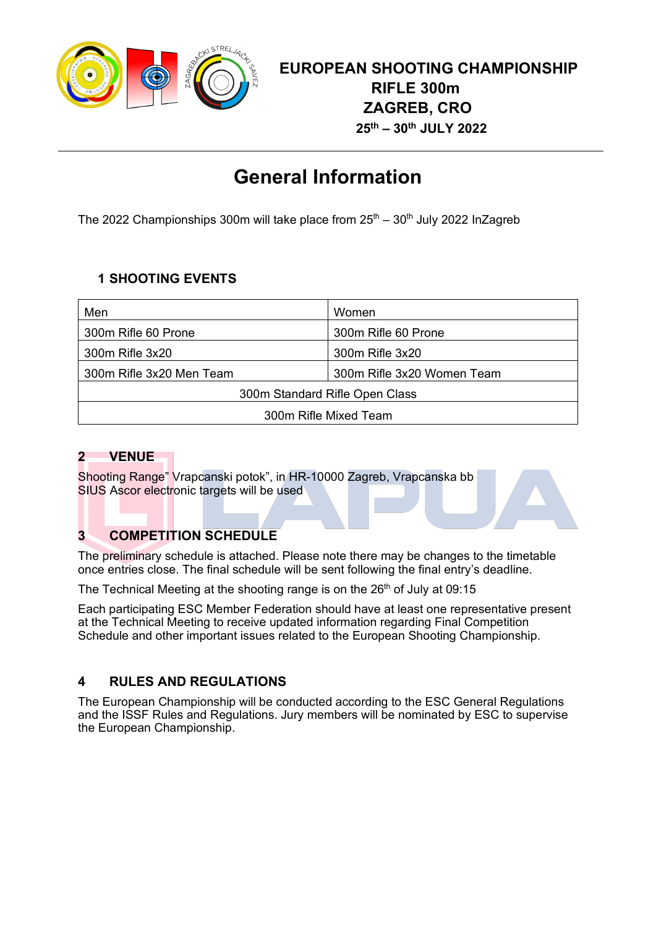

# **General Information**

The 2022 Championships 300m will take place from  $25<sup>th</sup> - 30<sup>th</sup>$  July 2022 InZagreb

## **1 SHOOTING EVENTS**

| Men                            | Women                      |  |
|--------------------------------|----------------------------|--|
| 300m Rifle 60 Prone            | 300m Rifle 60 Prone        |  |
| 300m Rifle 3x20                | 300m Rifle 3x20            |  |
| 300m Rifle 3x20 Men Team       | 300m Rifle 3x20 Women Team |  |
| 300m Standard Rifle Open Class |                            |  |
| 300m Rifle Mixed Team          |                            |  |

## **2 VENUE**

Shooting Range" Vrapcanski potok", in HR-10000 Zagreb, Vrapcanska bb SIUS Ascor electronic targets will be used

## **3 COMPETITION SCHEDULE**

The preliminary schedule is attached. Please note there may be changes to the timetable once entries close. The final schedule will be sent following the final entry's deadline.

The Technical Meeting at the shooting range is on the  $26<sup>th</sup>$  of July at 09:15

Each participating ESC Member Federation should have at least one representative present at the Technical Meeting to receive updated information regarding Final Competition Schedule and other important issues related to the European Shooting Championship.

## **4 RULES AND REGULATIONS**

The European Championship will be conducted according to the ESC General Regulations and the ISSF Rules and Regulations. Jury members will be nominated by ESC to supervise the European Championship.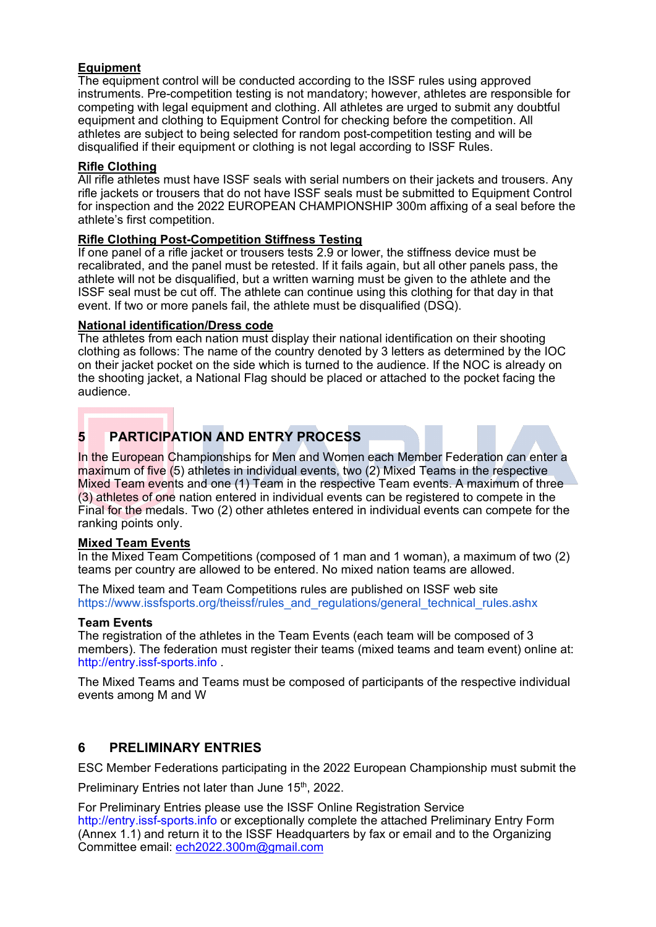#### **Equipment**

The equipment control will be conducted according to the ISSF rules using approved instruments. Pre-competition testing is not mandatory; however, athletes are responsible for competing with legal equipment and clothing. All athletes are urged to submit any doubtful equipment and clothing to Equipment Control for checking before the competition. All athletes are subject to being selected for random post-competition testing and will be disqualified if their equipment or clothing is not legal according to ISSF Rules.

#### **Rifle Clothing**

All rifle athletes must have ISSF seals with serial numbers on their jackets and trousers. Any rifle jackets or trousers that do not have ISSF seals must be submitted to Equipment Control for inspection and the 2022 EUROPEAN CHAMPIONSHIP 300m affixing of a seal before the athlete's first competition.

#### **Rifle Clothing Post-Competition Stiffness Testing**

If one panel of a rifle jacket or trousers tests 2.9 or lower, the stiffness device must be recalibrated, and the panel must be retested. If it fails again, but all other panels pass, the athlete will not be disqualified, but a written warning must be given to the athlete and the ISSF seal must be cut off. The athlete can continue using this clothing for that day in that event. If two or more panels fail, the athlete must be disqualified (DSQ).

#### **National identification/Dress code**

The athletes from each nation must display their national identification on their shooting clothing as follows: The name of the country denoted by 3 letters as determined by the IOC on their jacket pocket on the side which is turned to the audience. If the NOC is already on the shooting jacket, a National Flag should be placed or attached to the pocket facing the audience.

## **5 PARTICIPATION AND ENTRY PROCESS**

In the European Championships for Men and Women each Member Federation can enter a maximum of five (5) athletes in individual events, two (2) Mixed Teams in the respective Mixed Team events and one (1) Team in the respective Team events. A maximum of three (3) athletes of one nation entered in individual events can be registered to compete in the Final for the medals. Two (2) other athletes entered in individual events can compete for the ranking points only.

#### **Mixed Team Events**

In the Mixed Team Competitions (composed of 1 man and 1 woman), a maximum of two (2) teams per country are allowed to be entered. No mixed nation teams are allowed.

The Mixed team and Team Competitions rules are published on ISSF web site https://www.issfsports.org/theissf/rules\_and\_regulations/general\_technical\_rules.ashx

#### **Team Events**

The registration of the athletes in the Team Events (each team will be composed of 3 members). The federation must register their teams (mixed teams and team event) online at: http://entry.issf-sports.info .

The Mixed Teams and Teams must be composed of participants of the respective individual events among M and W

#### **6 PRELIMINARY ENTRIES**

ESC Member Federations participating in the 2022 European Championship must submit the

Preliminary Entries not later than June 15<sup>th</sup>, 2022.

For Preliminary Entries please use the ISSF Online Registration Service http://entry.issf-sports.info or exceptionally complete the attached Preliminary Entry Form (Annex 1.1) and return it to the ISSF Headquarters by fax or email and to the Organizing Committee email: ech2022.300m@gmail.com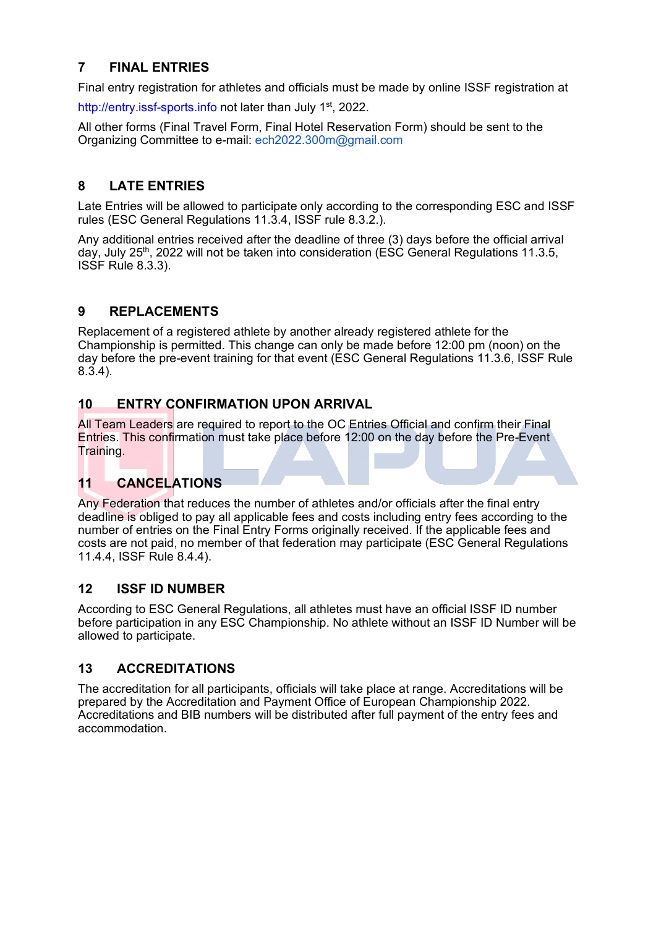## **7 FINAL ENTRIES**

Final entry registration for athletes and officials must be made by online ISSF registration at

http://entry.issf-sports.info not later than July 1<sup>st</sup>, 2022.

All other forms (Final Travel Form, Final Hotel Reservation Form) should be sent to the Organizing Committee to e-mail: ech2022.300m@gmail.com

## **8 LATE ENTRIES**

Late Entries will be allowed to participate only according to the corresponding ESC and ISSF rules (ESC General Regulations 11.3.4, ISSF rule 8.3.2.).

Any additional entries received after the deadline of three (3) days before the official arrival day, July 25<sup>th</sup>, 2022 will not be taken into consideration ( $\mathsf{ESC}$  General Regulations 11.3.5, ISSF Rule 8.3.3).

#### **9 REPLACEMENTS**

Replacement of a registered athlete by another already registered athlete for the Championship is permitted. This change can only be made before 12:00 pm (noon) on the day before the pre-event training for that event (ESC General Regulations 11.3.6, ISSF Rule 8.3.4).

#### **10 ENTRY CONFIRMATION UPON ARRIVAL**

All Team Leaders are required to report to the OC Entries Official and confirm their Final Entries. This confirmation must take place before 12:00 on the day before the Pre-Event Training.

## **11 CANCELATIONS**

Any Federation that reduces the number of athletes and/or officials after the final entry deadline is obliged to pay all applicable fees and costs including entry fees according to the number of entries on the Final Entry Forms originally received. If the applicable fees and costs are not paid, no member of that federation may participate (ESC General Regulations 11.4.4, ISSF Rule 8.4.4).

#### **12 ISSF ID NUMBER**

According to ESC General Regulations, all athletes must have an official ISSF ID number before participation in any ESC Championship. No athlete without an ISSF ID Number will be allowed to participate.

#### **13 ACCREDITATIONS**

The accreditation for all participants, officials will take place at range. Accreditations will be prepared by the Accreditation and Payment Office of European Championship 2022. Accreditations and BIB numbers will be distributed after full payment of the entry fees and accommodation.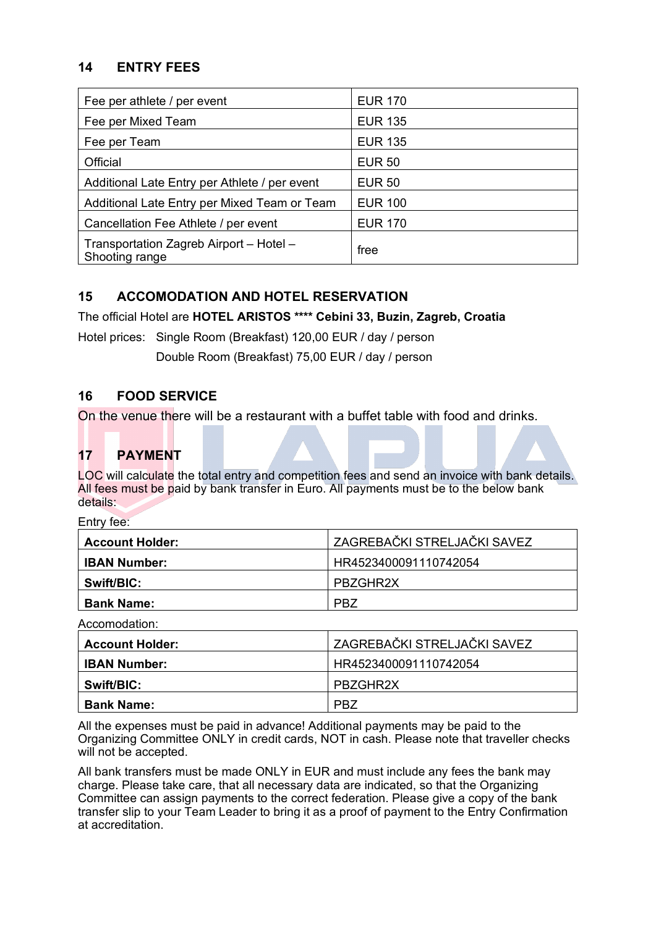#### **14 ENTRY FEES**

| Fee per athlete / per event                               | <b>EUR 170</b> |
|-----------------------------------------------------------|----------------|
| Fee per Mixed Team                                        | <b>EUR 135</b> |
| Fee per Team                                              | <b>EUR 135</b> |
| Official                                                  | <b>EUR 50</b>  |
| Additional Late Entry per Athlete / per event             | <b>EUR 50</b>  |
| Additional Late Entry per Mixed Team or Team              | <b>EUR 100</b> |
| Cancellation Fee Athlete / per event                      | <b>EUR 170</b> |
| Transportation Zagreb Airport - Hotel -<br>Shooting range | free           |

#### **15 ACCOMODATION AND HOTEL RESERVATION**

The official Hotel are **HOTEL ARISTOS \*\*\*\* Cebini 33, Buzin, Zagreb, Croatia**

Hotel prices: Single Room (Breakfast) 120,00 EUR / day / person

Double Room (Breakfast) 75,00 EUR / day / person

#### **16 FOOD SERVICE**

On the venue there will be a restaurant with a buffet table with food and drinks.

#### **17 PAYMENT**

LOC will calculate the total entry and competition fees and send an invoice with bank details. All fees must be paid by bank transfer in Euro. All payments must be to the below bank details:

Entry fee:

| <b>Account Holder:</b> | <sup>I</sup> ZAGREBAČKI STRELJAČKI SAVEZ |
|------------------------|------------------------------------------|
| <b>IBAN Number:</b>    | HR4523400091110742054                    |
| Swift/BIC:             | PBZGHR2X                                 |
| <b>Bank Name:</b>      | <b>PBZ</b>                               |

Accomodation:

| <b>Account Holder:</b> | <sup>I</sup> ZAGREBAČKI STRELJAČKI SAVEZ |
|------------------------|------------------------------------------|
| <b>IBAN Number:</b>    | HR4523400091110742054                    |
| Swift/BIC:             | PBZGHR2X                                 |
| <b>Bank Name:</b>      | PB <sub>7</sub>                          |

All the expenses must be paid in advance! Additional payments may be paid to the Organizing Committee ONLY in credit cards, NOT in cash. Please note that traveller checks will not be accepted.

All bank transfers must be made ONLY in EUR and must include any fees the bank may charge. Please take care, that all necessary data are indicated, so that the Organizing Committee can assign payments to the correct federation. Please give a copy of the bank transfer slip to your Team Leader to bring it as a proof of payment to the Entry Confirmation at accreditation.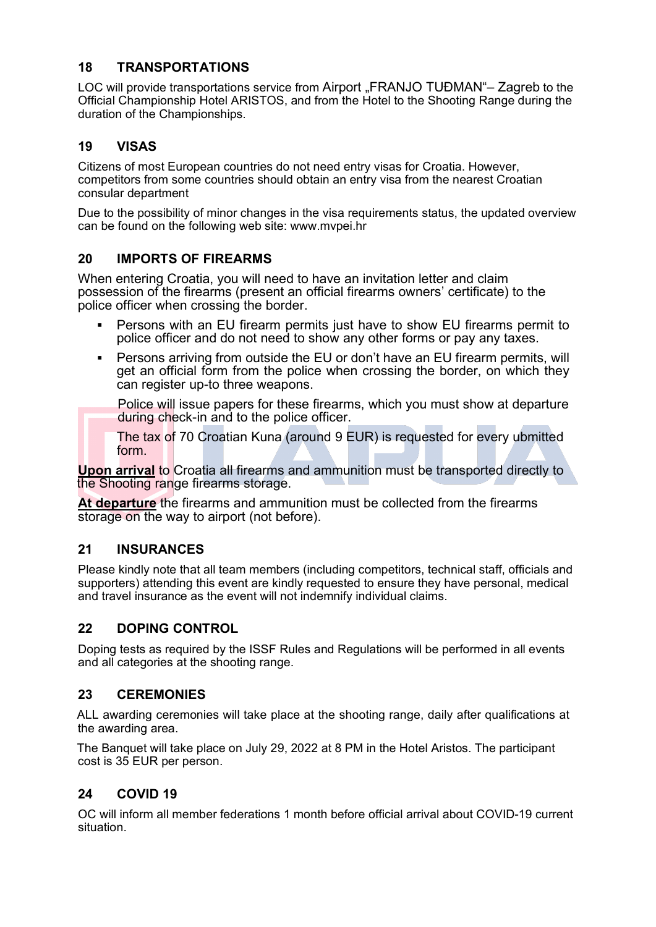#### **18 TRANSPORTATIONS**

LOC will provide transportations service from Airport "FRANJO TUĐMAN"- Zagreb to the Official Championship Hotel ARISTOS, and from the Hotel to the Shooting Range during the duration of the Championships.

## **19 VISAS**

Citizens of most European countries do not need entry visas for Croatia. However, competitors from some countries should obtain an entry visa from the nearest Croatian consular department

Due to the possibility of minor changes in the visa requirements status, the updated overview can be found on the following web site: www.mvpei.hr

#### **20 IMPORTS OF FIREARMS**

When entering Croatia, you will need to have an invitation letter and claim possession of the firearms (present an official firearms owners' certificate) to the police officer when crossing the border.

- Persons with an EU firearm permits just have to show EU firearms permit to police officer and do not need to show any other forms or pay any taxes.
- Persons arriving from outside the EU or don't have an EU firearm permits, will get an official form from the police when crossing the border, on which they can register up-to three weapons.

Police will issue papers for these firearms, which you must show at departure during check-in and to the police officer.

The tax of 70 Croatian Kuna (around 9 EUR) is requested for every ubmitted form.

**Upon arrival** to Croatia all firearms and ammunition must be transported directly to the Shooting range firearms storage.

**At departure** the firearms and ammunition must be collected from the firearms storage on the way to airport (not before).

#### **21 INSURANCES**

Please kindly note that all team members (including competitors, technical staff, officials and supporters) attending this event are kindly requested to ensure they have personal, medical and travel insurance as the event will not indemnify individual claims.

#### **22 DOPING CONTROL**

Doping tests as required by the ISSF Rules and Regulations will be performed in all events and all categories at the shooting range.

#### **23 CEREMONIES**

ALL awarding ceremonies will take place at the shooting range, daily after qualifications at the awarding area.

The Banquet will take place on July 29, 2022 at 8 PM in the Hotel Aristos. The participant cost is 35 EUR per person.

#### **24 COVID 19**

OC will inform all member federations 1 month before official arrival about COVID-19 current situation.